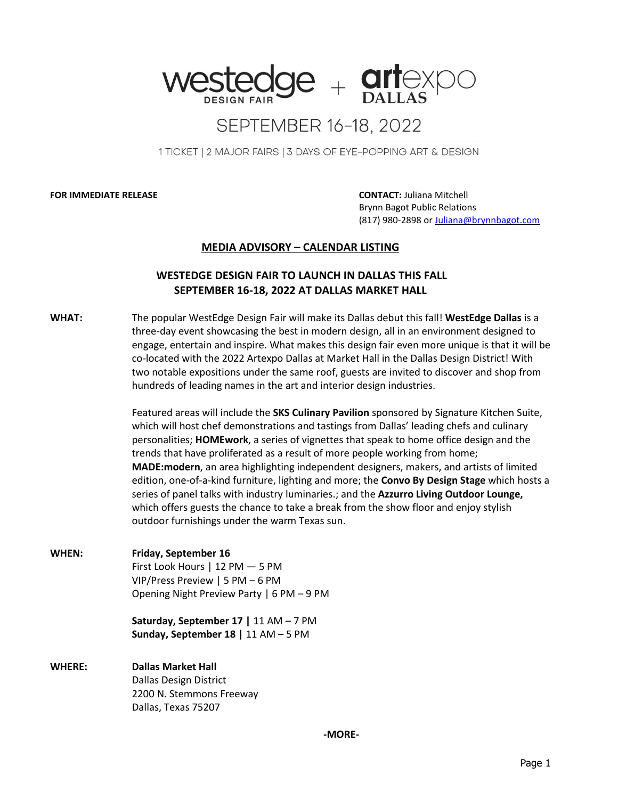

## SEPTEMBER 16-18, 2022

1 TICKET | 2 MAJOR FAIRS | 3 DAYS OF EYE-POPPING ART & DESIGN

**FOR IMMEDIATE RELEASE CONTACT:** Juliana Mitchell

 Brynn Bagot Public Relations (817) 980-2898 or [Juliana@brynnbagot.com](mailto:Juliana@brynnbagot.com)

## **MEDIA ADVISORY – CALENDAR LISTING**

## **WESTEDGE DESIGN FAIR TO LAUNCH IN DALLAS THIS FALL SEPTEMBER 16-18, 2022 AT DALLAS MARKET HALL**

**WHAT:** The popular WestEdge Design Fair will make its Dallas debut this fall! **WestEdge Dallas** is a three-day event showcasing the best in modern design, all in an environment designed to engage, entertain and inspire. What makes this design fair even more unique is that it will be co-located with the 2022 Artexpo Dallas at Market Hall in the Dallas Design District! With two notable expositions under the same roof, guests are invited to discover and shop from hundreds of leading names in the art and interior design industries.

> Featured areas will include the **SKS Culinary Pavilion** sponsored by Signature Kitchen Suite, which will host chef demonstrations and tastings from Dallas' leading chefs and culinary personalities; **HOMEwork**, a series of vignettes that speak to home office design and the trends that have proliferated as a result of more people working from home; **MADE:modern**, an area highlighting independent designers, makers, and artists of limited edition, one-of-a-kind furniture, lighting and more; the **Convo By Design Stage** which hosts a series of panel talks with industry luminaries.; and the **Azzurro Living Outdoor Lounge,** which offers guests the chance to take a break from the show floor and enjoy stylish outdoor furnishings under the warm Texas sun.

**WHEN: Friday, September 16** First Look Hours | 12 PM — 5 PM VIP/Press Preview | 5 PM – 6 PM Opening Night Preview Party | 6 PM – 9 PM

> **Saturday, September 17 |** 11 AM – 7 PM **Sunday, September 18 |** 11 AM – 5 PM

**WHERE: Dallas Market Hall** Dallas Design District 2200 N. Stemmons Freeway Dallas, Texas 75207